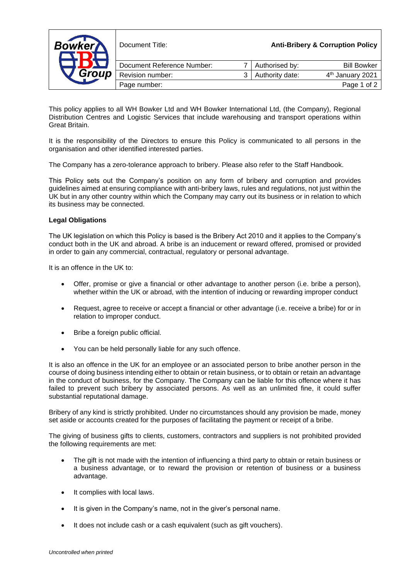| <b>Bowker</b><br>Group | Document Title:            |   | <b>Anti-Bribery &amp; Corruption Policy</b> |                              |  |
|------------------------|----------------------------|---|---------------------------------------------|------------------------------|--|
|                        | Document Reference Number: |   | Authorised by:                              | <b>Bill Bowker</b>           |  |
|                        | Revision number:           | ર | Authority date:                             | 4 <sup>th</sup> January 2021 |  |
|                        | Page number:               |   |                                             | Page 1 of 2                  |  |

This policy applies to all WH Bowker Ltd and WH Bowker International Ltd, (the Company), Regional Distribution Centres and Logistic Services that include warehousing and transport operations within Great Britain.

It is the responsibility of the Directors to ensure this Policy is communicated to all persons in the organisation and other identified interested parties.

The Company has a zero-tolerance approach to bribery. Please also refer to the Staff Handbook.

This Policy sets out the Company's position on any form of bribery and corruption and provides guidelines aimed at ensuring compliance with anti-bribery laws, rules and regulations, not just within the UK but in any other country within which the Company may carry out its business or in relation to which its business may be connected.

## **Legal Obligations**

The UK legislation on which this Policy is based is the Bribery Act 2010 and it applies to the Company's conduct both in the UK and abroad. A bribe is an inducement or reward offered, promised or provided in order to gain any commercial, contractual, regulatory or personal advantage.

It is an offence in the UK to:

- Offer, promise or give a financial or other advantage to another person (i.e. bribe a person), whether within the UK or abroad, with the intention of inducing or rewarding improper conduct
- Request, agree to receive or accept a financial or other advantage (i.e. receive a bribe) for or in relation to improper conduct.
- Bribe a foreign public official.
- You can be held personally liable for any such offence.

It is also an offence in the UK for an employee or an associated person to bribe another person in the course of doing business intending either to obtain or retain business, or to obtain or retain an advantage in the conduct of business, for the Company. The Company can be liable for this offence where it has failed to prevent such bribery by associated persons. As well as an unlimited fine, it could suffer substantial reputational damage.

Bribery of any kind is strictly prohibited. Under no circumstances should any provision be made, money set aside or accounts created for the purposes of facilitating the payment or receipt of a bribe.

The giving of business gifts to clients, customers, contractors and suppliers is not prohibited provided the following requirements are met:

- The gift is not made with the intention of influencing a third party to obtain or retain business or a business advantage, or to reward the provision or retention of business or a business advantage.
- It complies with local laws.
- It is given in the Company's name, not in the giver's personal name.
- It does not include cash or a cash equivalent (such as gift vouchers).